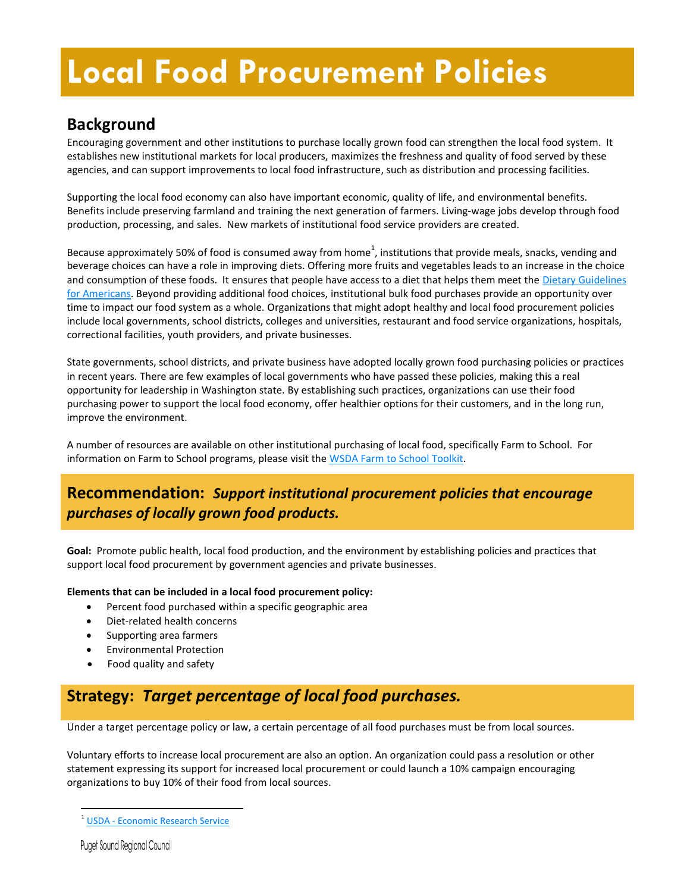# **Local Food Procurement Policies**

# **Background**

Encouraging government and other institutions to purchase locally grown food can strengthen the local food system. It establishes new institutional markets for local producers, maximizes the freshness and quality of food served by these agencies, and can support improvements to local food infrastructure, such as distribution and processing facilities.

Supporting the local food economy can also have important economic, quality of life, and environmental benefits. Benefits include preserving farmland and training the next generation of farmers. Living-wage jobs develop through food production, processing, and sales. New markets of institutional food service providers are created.

Because approximately 50% of food is consumed away from home<sup>1</sup>, institutions that provide meals, snacks, vending and beverage choices can have a role in improving diets. Offering more fruits and vegetables leads to an increase in the choice and consumption of these foods. It ensures that people have access to a diet that helps them meet the Dietary Guidelines [for Americans.](http://www.health.gov/dietaryguidelines/) Beyond providing additional food choices, institutional bulk food purchases provide an opportunity over time to impact our food system as a whole. Organizations that might adopt healthy and local food procurement policies include local governments, school districts, colleges and universities, restaurant and food service organizations, hospitals, correctional facilities, youth providers, and private businesses.

State governments, school districts, and private business have adopted locally grown food purchasing policies or practices in recent years. There are few examples of local governments who have passed these policies, making this a real opportunity for leadership in Washington state. By establishing such practices, organizations can use their food purchasing power to support the local food economy, offer healthier options for their customers, and in the long run, improve the environment.

A number of resources are available on other institutional purchasing of local food, specifically Farm to School. For information on Farm to School programs, please visit th[e WSDA Farm to School Toolkit.](http://www.wafarmtoschool.org/) 

## **Recommendation:** *Support institutional procurement policies that encourage purchases of locally grown food products.*

**Goal:** Promote public health, local food production, and the environment by establishing policies and practices that support local food procurement by government agencies and private businesses.

#### **Elements that can be included in a local food procurement policy:**

- Percent food purchased within a specific geographic area
- Diet-related health concerns
- Supporting area farmers
- Environmental Protection
- Food quality and safety

# **Strategy:** *Target percentage of local food purchases.*

Under a target percentage policy or law, a certain percentage of all food purchases must be from local sources.

Voluntary efforts to increase local procurement are also an option. An organization could pass a resolution or other statement expressing its support for increased local procurement or could launch a 10% campaign encouraging organizations to buy 10% of their food from local sources.

**Puget Sound Regional Council** 

 $\overline{a}$ 

<sup>1</sup> USDA - [Economic Research Service](http://www.ers.usda.gov/data-products/food-expenditures.aspx%23.UZVZX_XGwYA)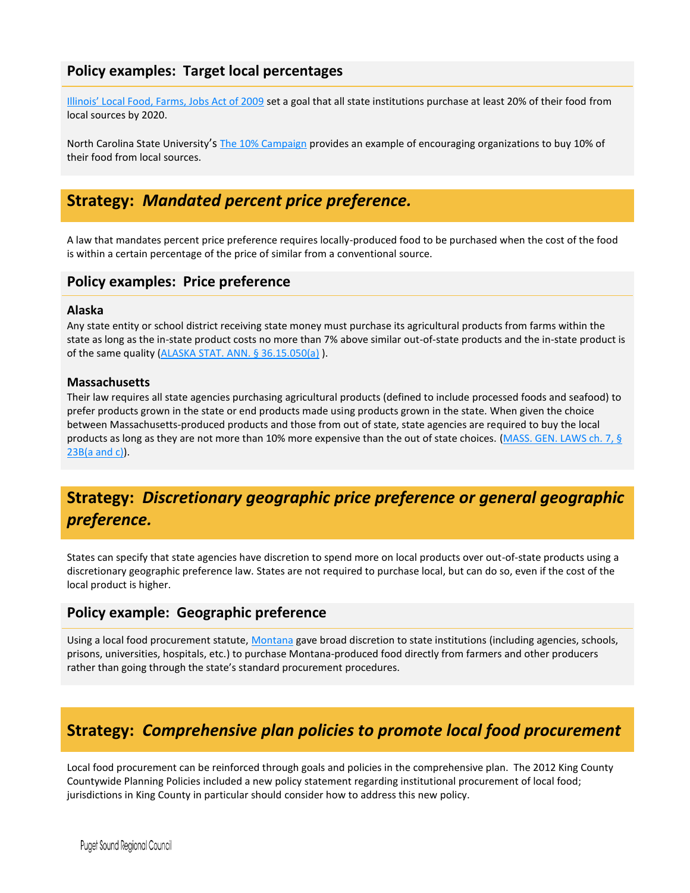## **Policy examples: Target local percentages**

[Illinois' Local Food, Farms, Jobs Act of 2009](http://www.ilga.gov/legislation/publicacts/fulltext.asp?Name=096-0579) set a goal that all state institutions purchase at least 20% of their food from local sources by 2020.

North Carolina State University's [The 10% Campaign](http://www.ncsu.edu/project/nc10percent/index.php) provides an example of encouraging organizations to buy 10% of their food from local sources.

# **Strategy:** *Mandated percent price preference.*

A law that mandates percent price preference requires locally-produced food to be purchased when the cost of the food is within a certain percentage of the price of similar from a conventional source.

### **Policy examples: Price preference**

#### **Alaska**

Any state entity or school district receiving state money must purchase its agricultural products from farms within the state as long as the in-state product costs no more than 7% above similar out-of-state products and the in-state product is of the same quality [\(ALASKA STAT. ANN. § 36.15.050\(a\)](http://www.legis.state.ak.us/basis/statutes.asp?title=03) ).

#### **Massachusetts**

Their law requires all state agencies purchasing agricultural products (defined to include processed foods and seafood) to prefer products grown in the state or end products made using products grown in the state. When given the choice between Massachusetts-produced products and those from out of state, state agencies are required to buy the local products as long as they are not more than 10% more expensive than the out of state choices. (MASS. GEN. LAWS ch. 7, § [23B\(a and c\)\)](http://www.malegislature.gov/Laws/GeneralLaws/PartI/TitleII/Chapter7/Section23B).

# **Strategy:** *Discretionary geographic price preference or general geographic preference.*

States can specify that state agencies have discretion to spend more on local products over out-of-state products using a discretionary geographic preference law. States are not required to purchase local, but can do so, even if the cost of the local product is higher.

## **Policy example: Geographic preference**

Using a local food procurement statute, [Montana](http://growmontana.ncat.org/docs/SB0328.pdf) gave broad discretion to state institutions (including agencies, schools, prisons, universities, hospitals, etc.) to purchase Montana-produced food directly from farmers and other producers rather than going through the state's standard procurement procedures.

# **Strategy:** *Comprehensive plan policies to promote local food procurement*

Local food procurement can be reinforced through goals and policies in the comprehensive plan. The 2012 King County Countywide Planning Policies included a new policy statement regarding institutional procurement of local food; jurisdictions in King County in particular should consider how to address this new policy.